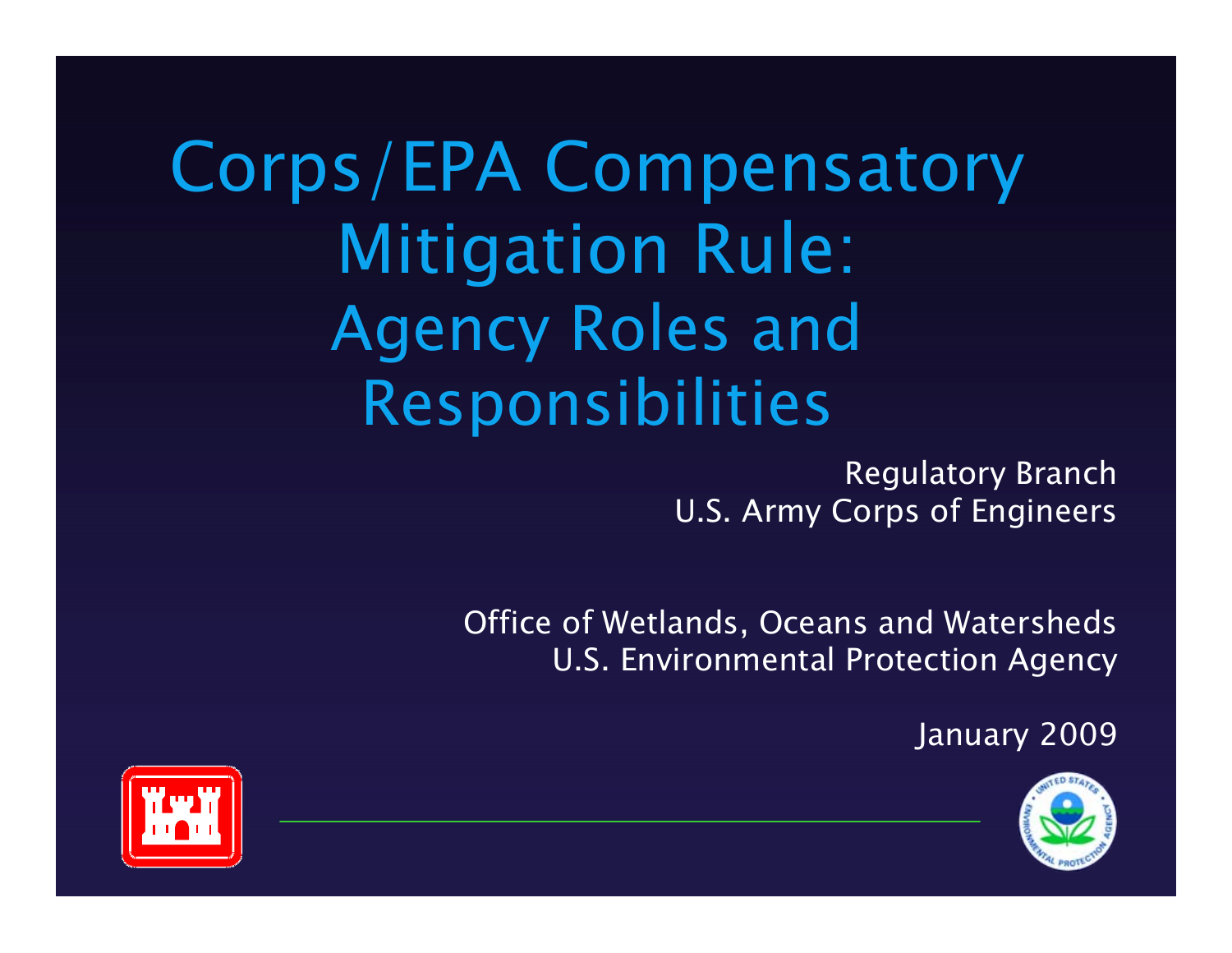### Corps/EPA Compensatory Mitigation Rule: Agency Roles and Responsibilities

Regulatory Branch U.S. Army Corps of Engineers

Office of Wetlands, Oceans and Watersheds U.S. Environmental Protection Agency

January 2009



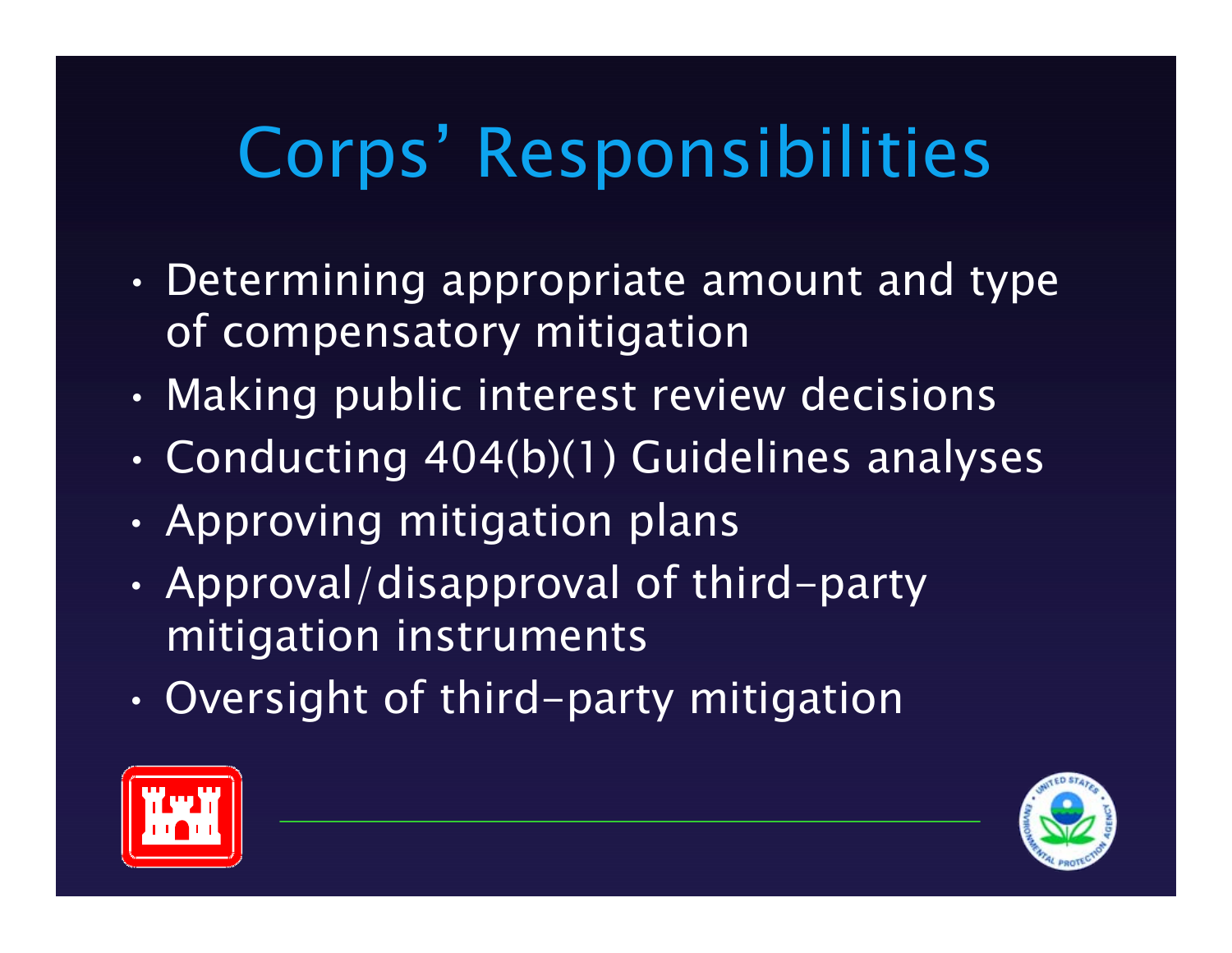# Corps' Responsibilities

- • Determining appropriate amount and type of compensatory mitigation
- $\bullet$ • Making public interest review decisions
- •Conducting 404(b)(1) Guidelines analyses
- •Approving mitigation plans
- • Approval/disapproval of third-party mitigation instruments
- •Oversight of third-party mitigation



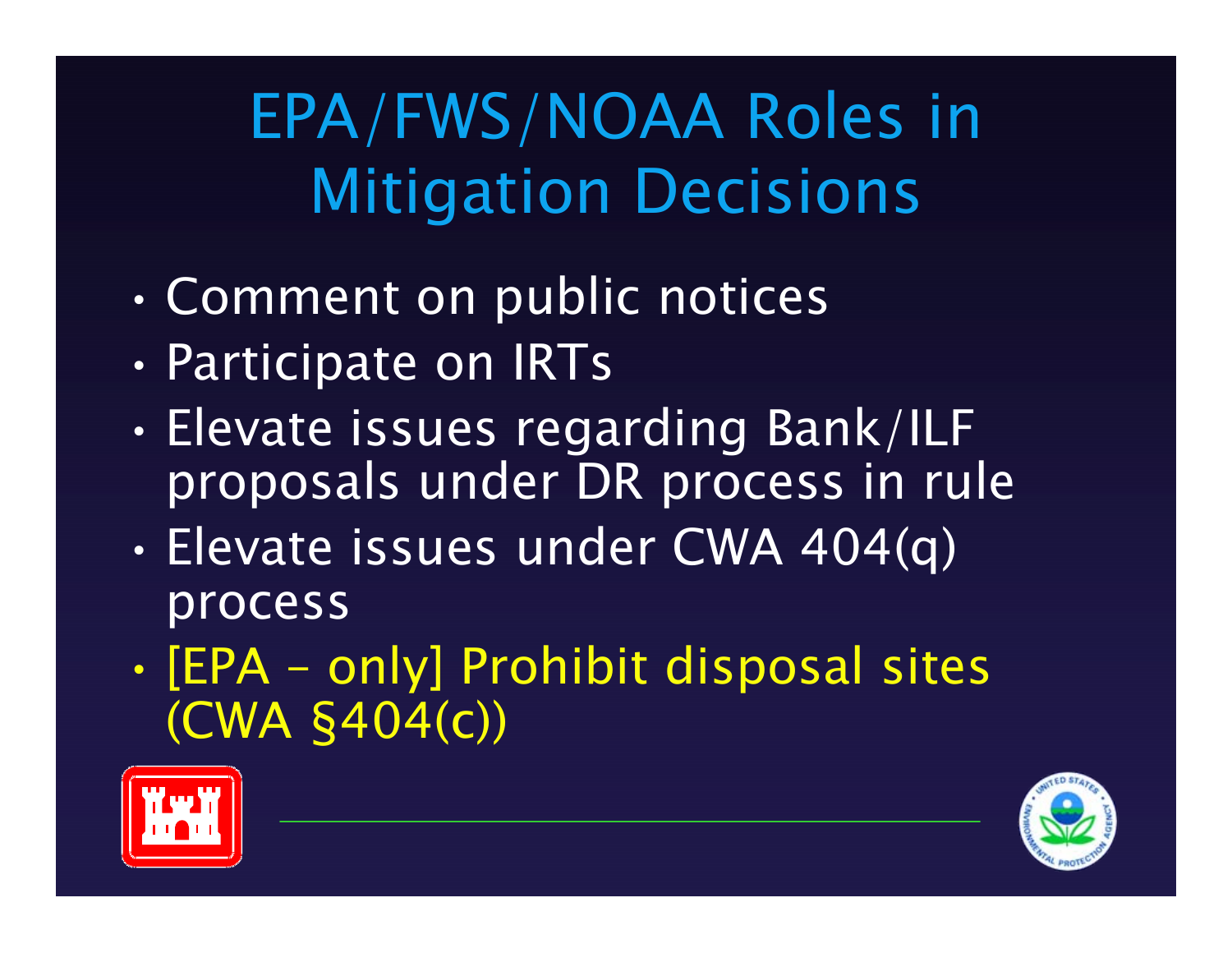### EPA/FWS/NOAA Roles in Mitigation Decisions

- •Comment on public notices
- •Participate on IRTs
- • Elevate issues regarding Bank/ILF proposals under DR process in rule
- • Elevate issues under CWA 404(q) process
- $\bullet$ • [EPA – only] Prohibit disposal sites (CWA §404(c))



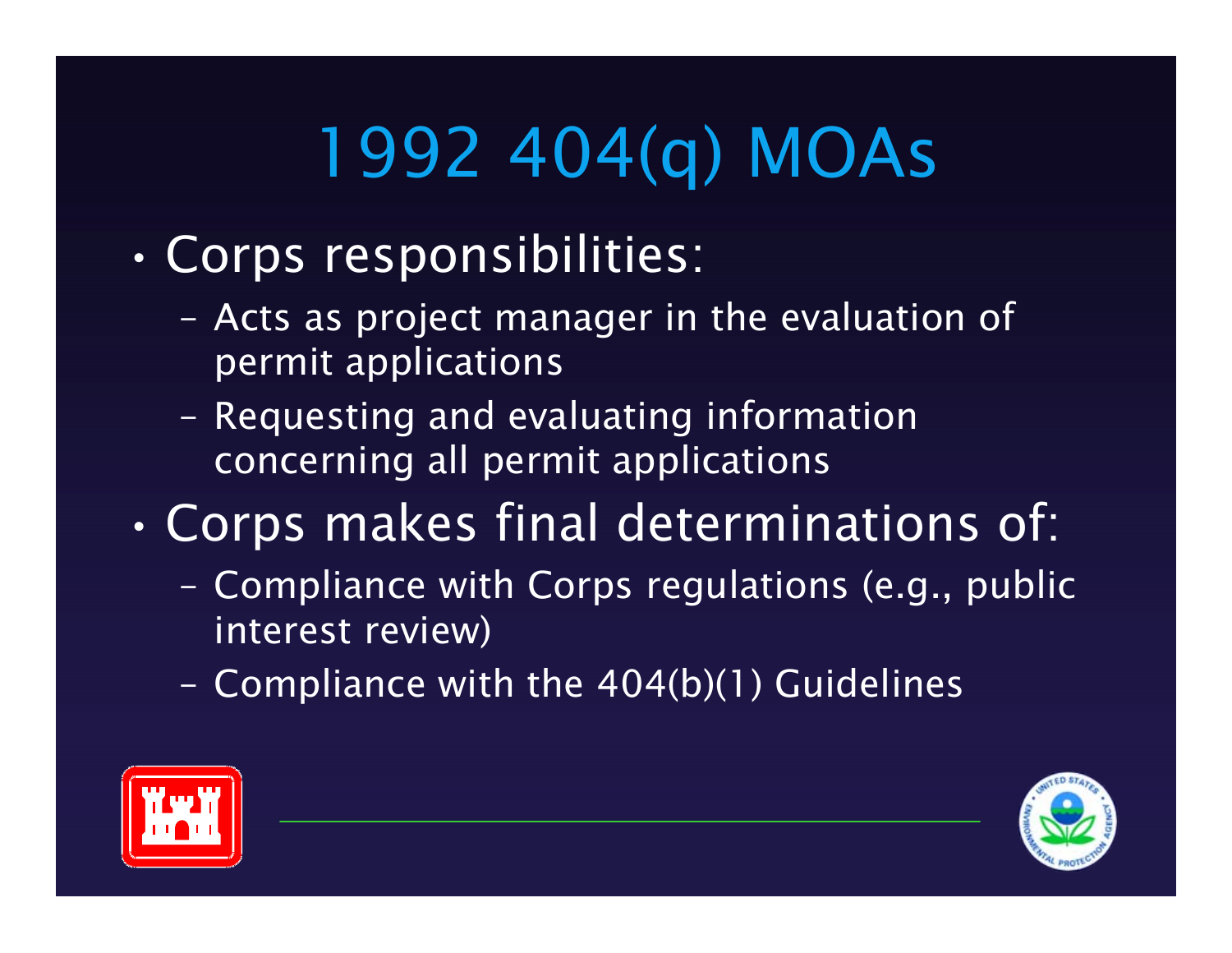# 1992 404(q) MOAs

- • Corps responsibilities:
	- Acts as project manager in the evaluation of permit applications
	- Requesting and evaluating information concerning all permit applications
- • Corps makes final determinations of:
	- Compliance with Corps regulations (e.g., public interest review)
	- Compliance with the 404(b)(1) Guidelines



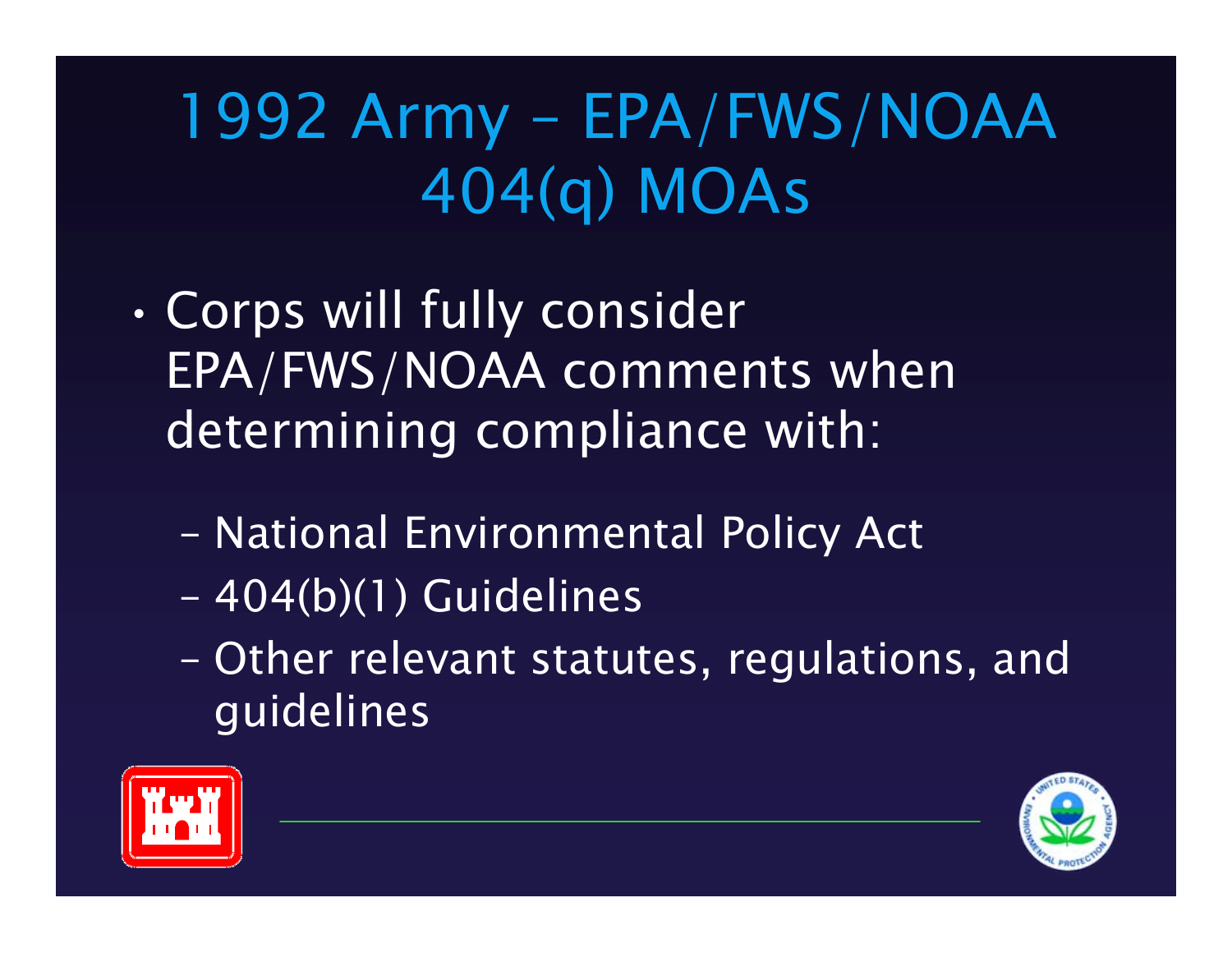### 1992 Army – EPA/FWS/NOAA 404(q) MOAs

- • Corps will fully consider EPA/FWS/NOAA comments when determining compliance with:
	- –National Environmental Policy Act
	- –404(b)(1) Guidelines
	- – Other relevant statutes, regulations, and guidelines



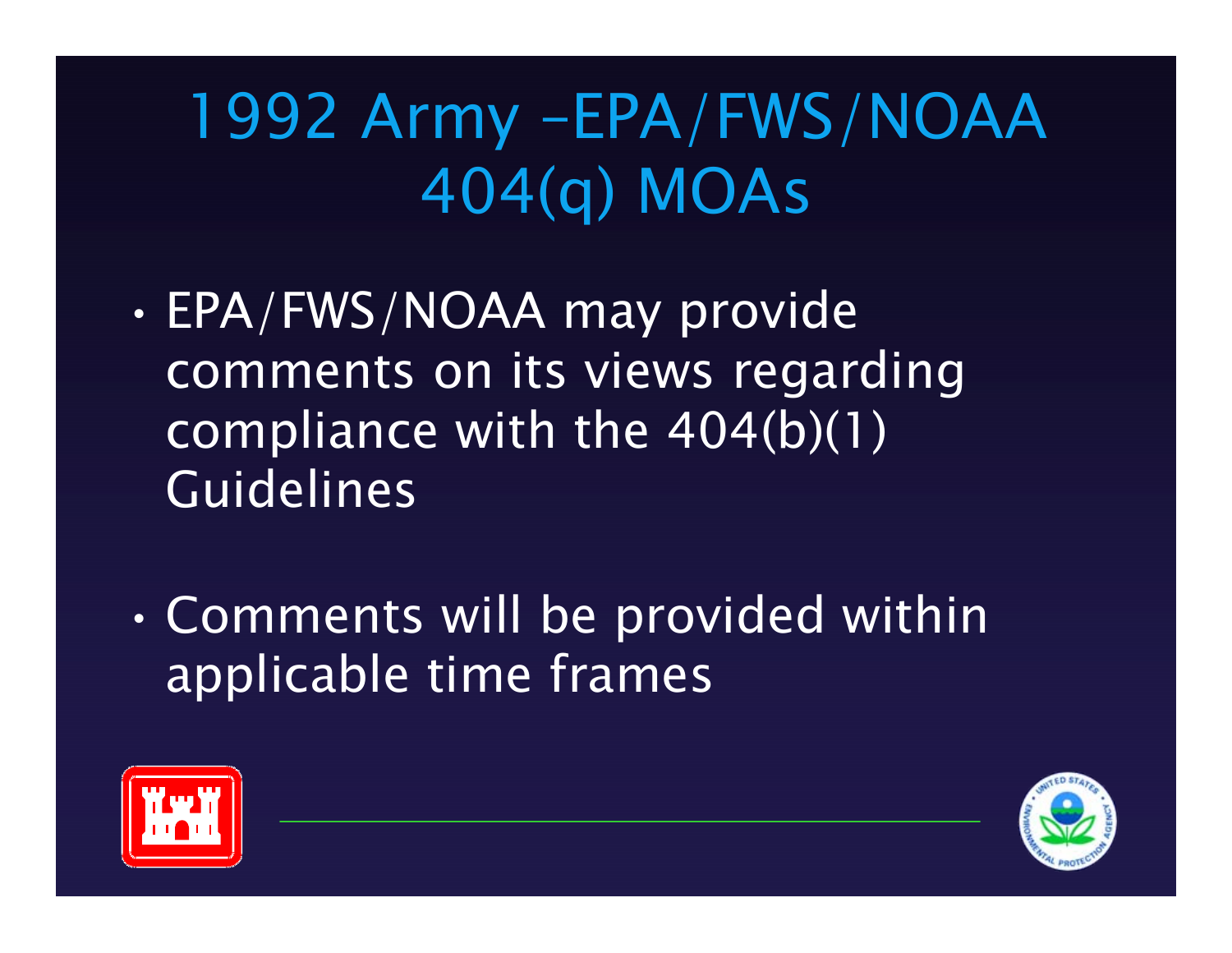### 1992 Army –EPA/FWS/NOAA 404(q) MOAs

- • EPA/FWS/NOAA may provide comments on its views regarding compliance with the 404(b)(1) Guidelines
- • Comments will be provided within applicable time frames



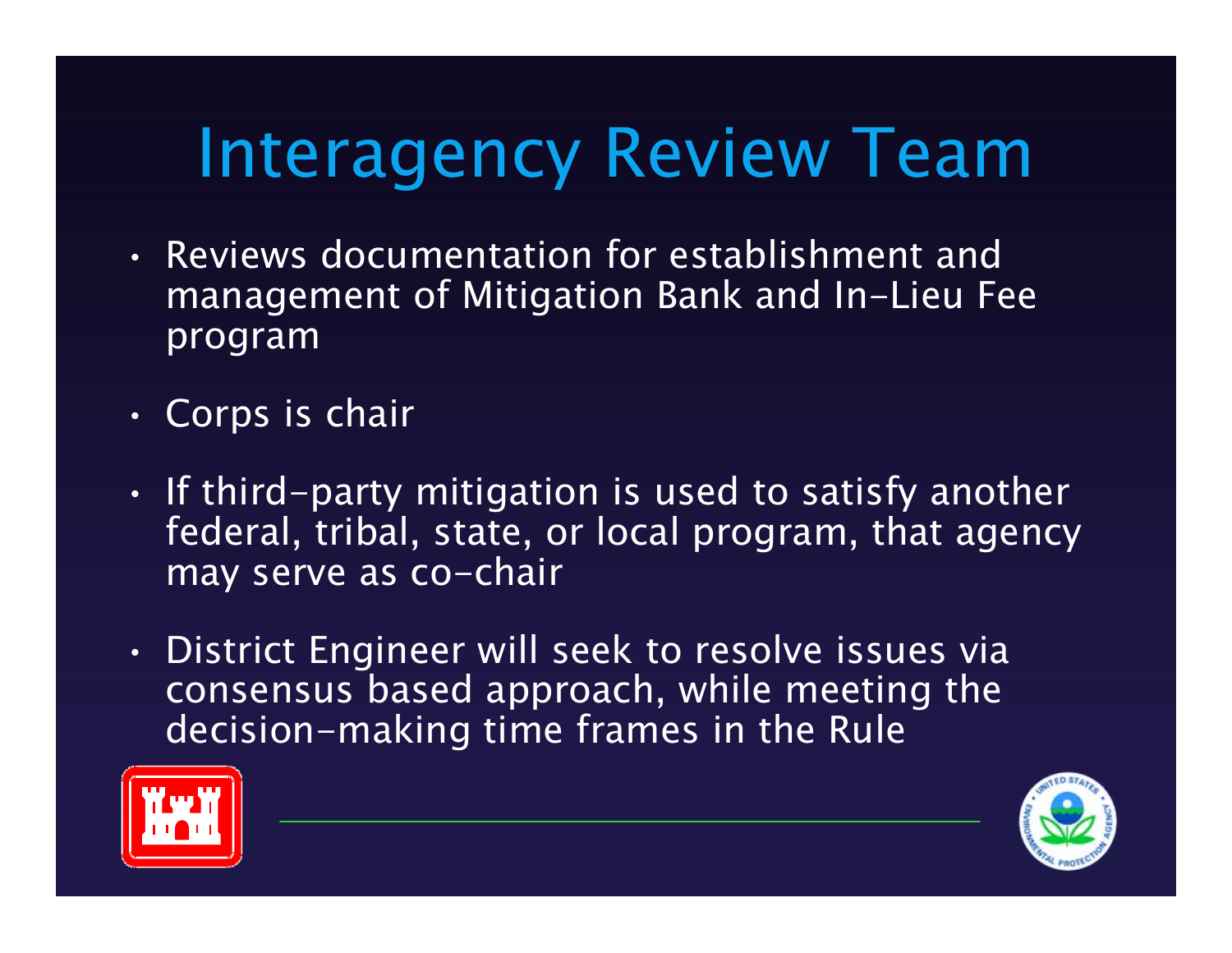# Interagency Review Team

- Reviews documentation for establishment and management of Mitigation Bank and In-Lieu Fee program
- •Corps is chair
- • $\cdot$  If third-party mitigation is used to satisfy another federal, tribal, state, or local program, that agency may serve as co-chair
- • District Engineer will seek to resolve issues via consensus based approach, while meeting the decision-making time frames in the Rule



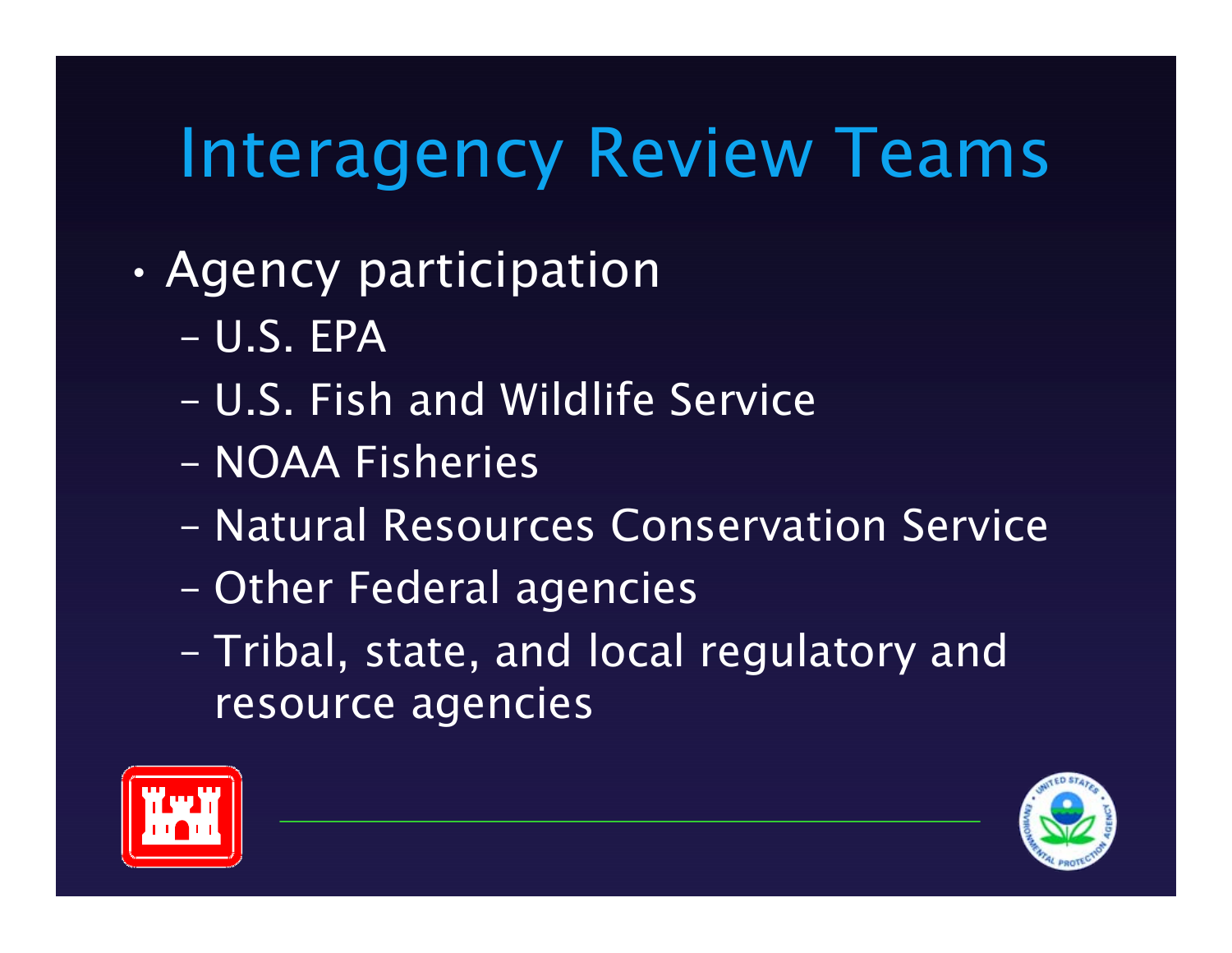# Interagency Review Teams

- • Agency participation
	- U.S. EPA
	- U.S. Fish and Wildlife Service
	- NOAA Fisheries
	- Natural Resources Conservation Service
	- –Other Federal agencies
	- –- Tribal, state, and local regulatory and resource agencies



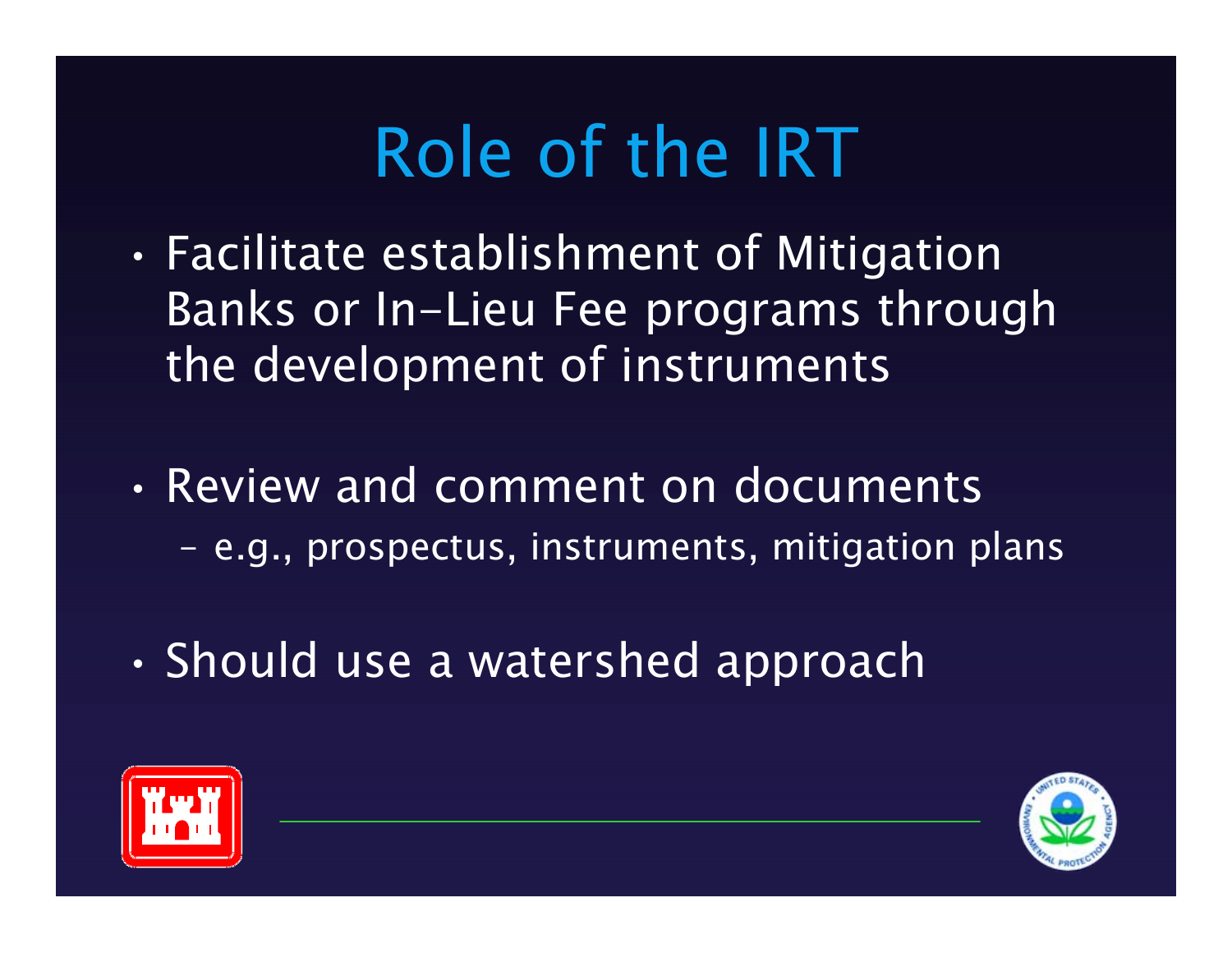# Role of the IRT

- • Facilitate establishment of Mitigation Banks or In-Lieu Fee programs through the development of instruments
- Review and comment on documents - e.g., prospectus, instruments, mitigation plans
- •Should use a watershed approach



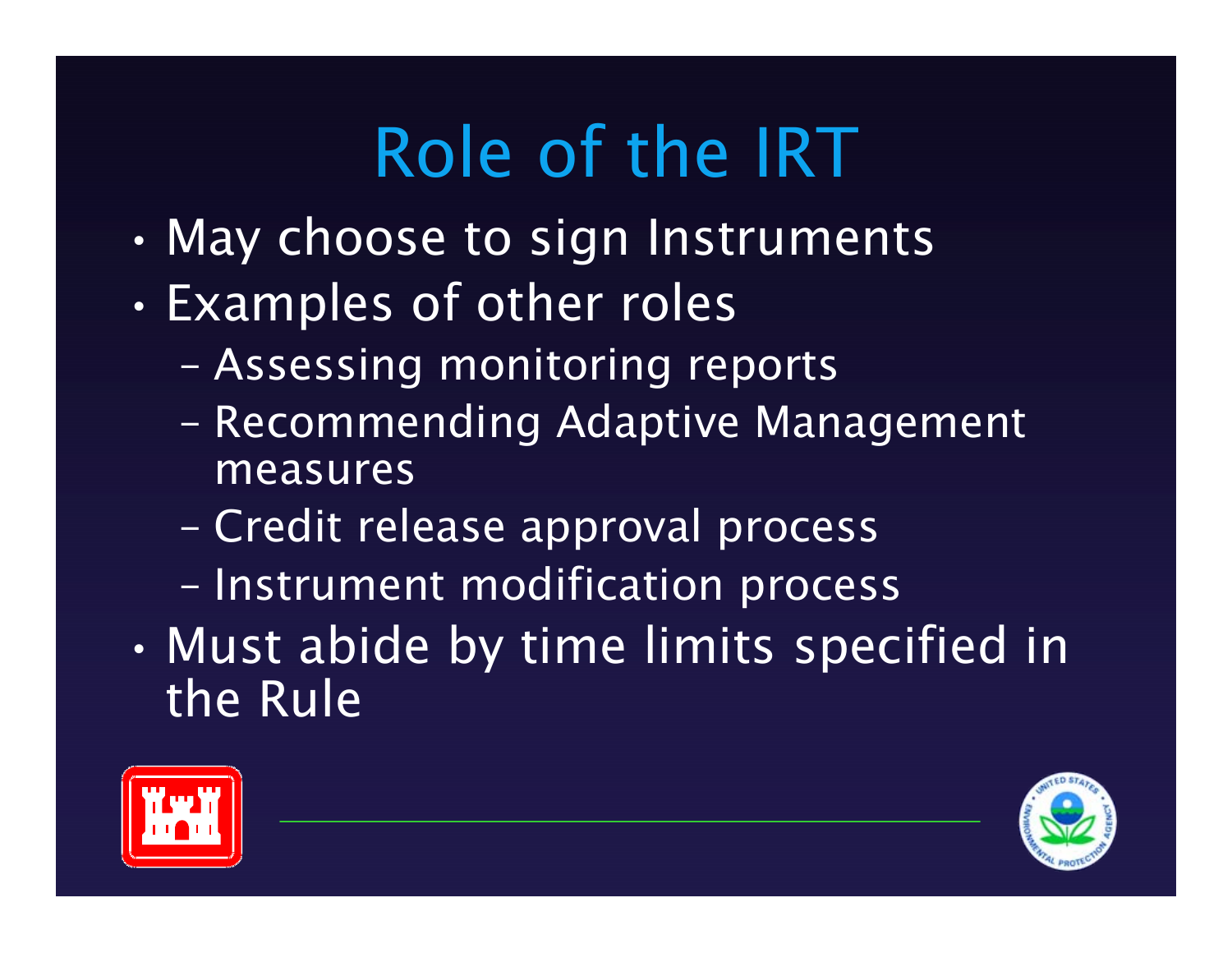# Role of the IRT

- •May choose to sign Instruments
- • Examples of other roles
	- –Assessing monitoring reports
	- – Recommending Adaptive Management measures
	- –Credit release approval process
	- –- Instrument modification process
- • Must abide by time limits specified in the Rule



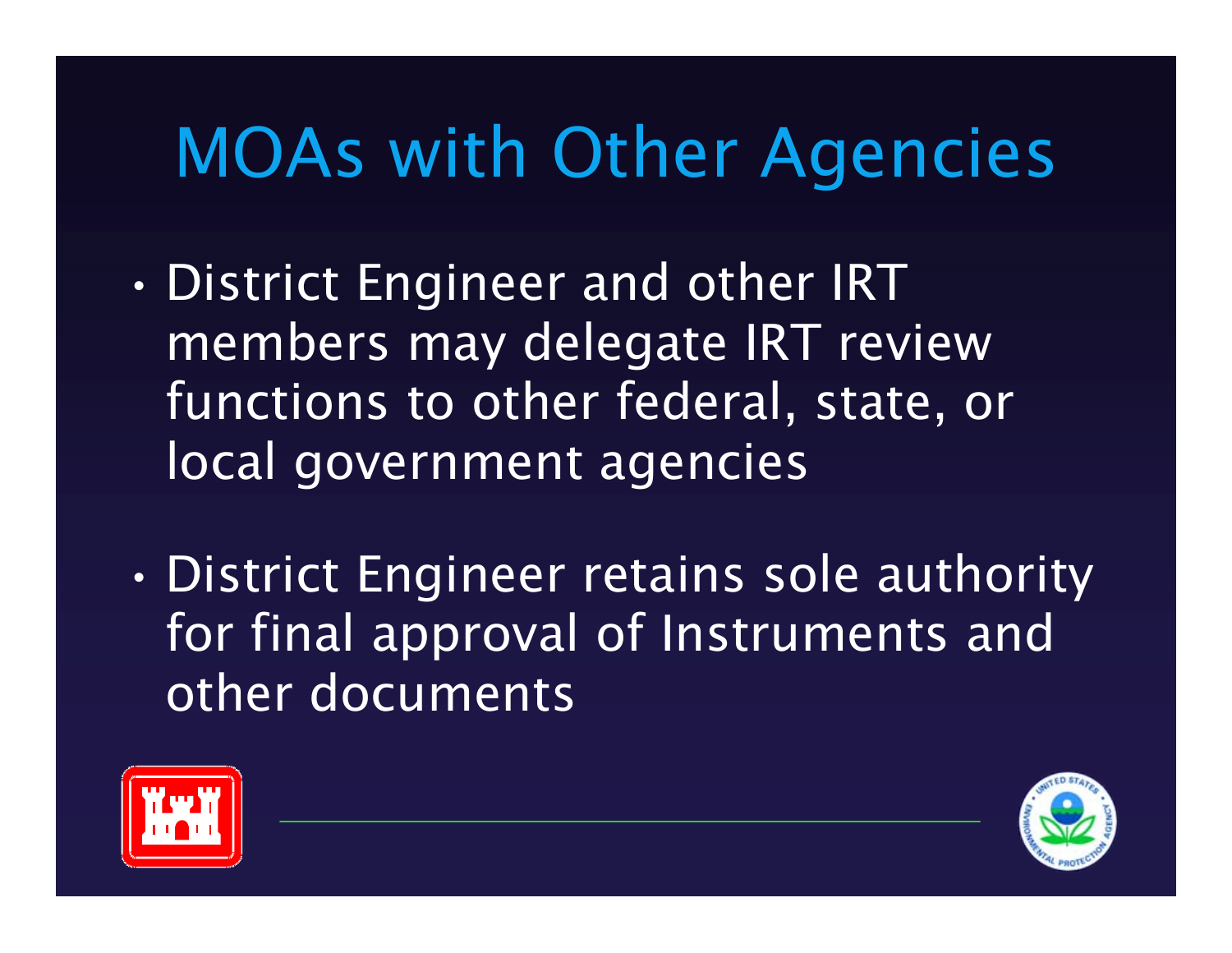# MOAs with Other Agencies

- • District Engineer and other IRT members may delegate IRT review functions to other federal, state, or local government agencies
- • District Engineer retains sole authority for final approval of Instruments and other documents



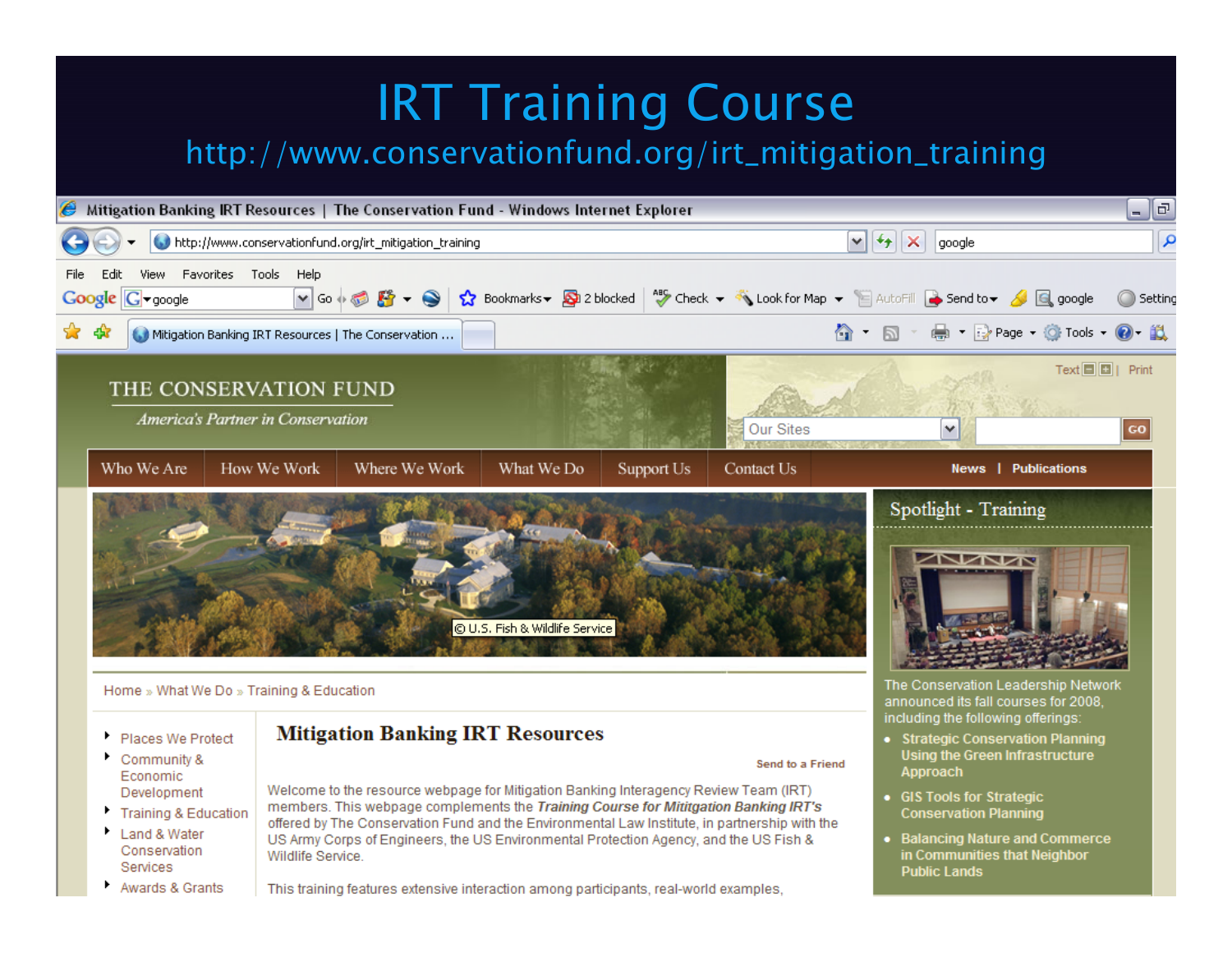#### IRT Training Course

#### http://www.conservationfund.org/irt\_mitigation\_training



Awards & Grants

Conservation

Services

US Army Corps of Engineers, the US Environmental Protection Agency, and the US Fish & Wildlife Service.

in Communities that Neighbor

**Public Lands** 

This training features extensive interaction among participants, real-world examples,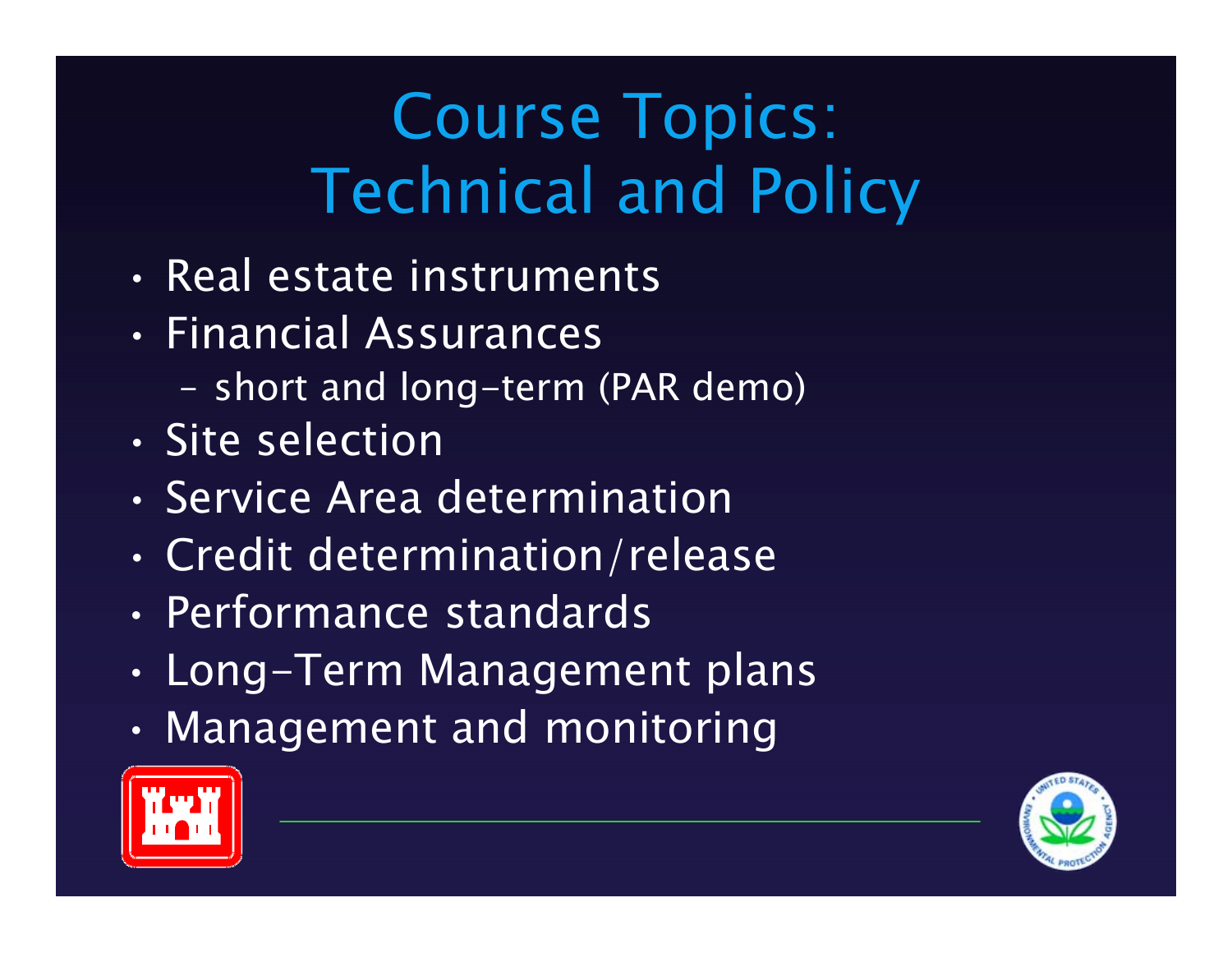#### Course Topics: Technical and Policy

- Real estate instruments
- Financial Assurances
	- short and long-term (PAR demo)
- Site selection
- Service Area determination
- •Credit determination/release
- Performance standards
- •Long-Term Management plans
- •Management and monitoring



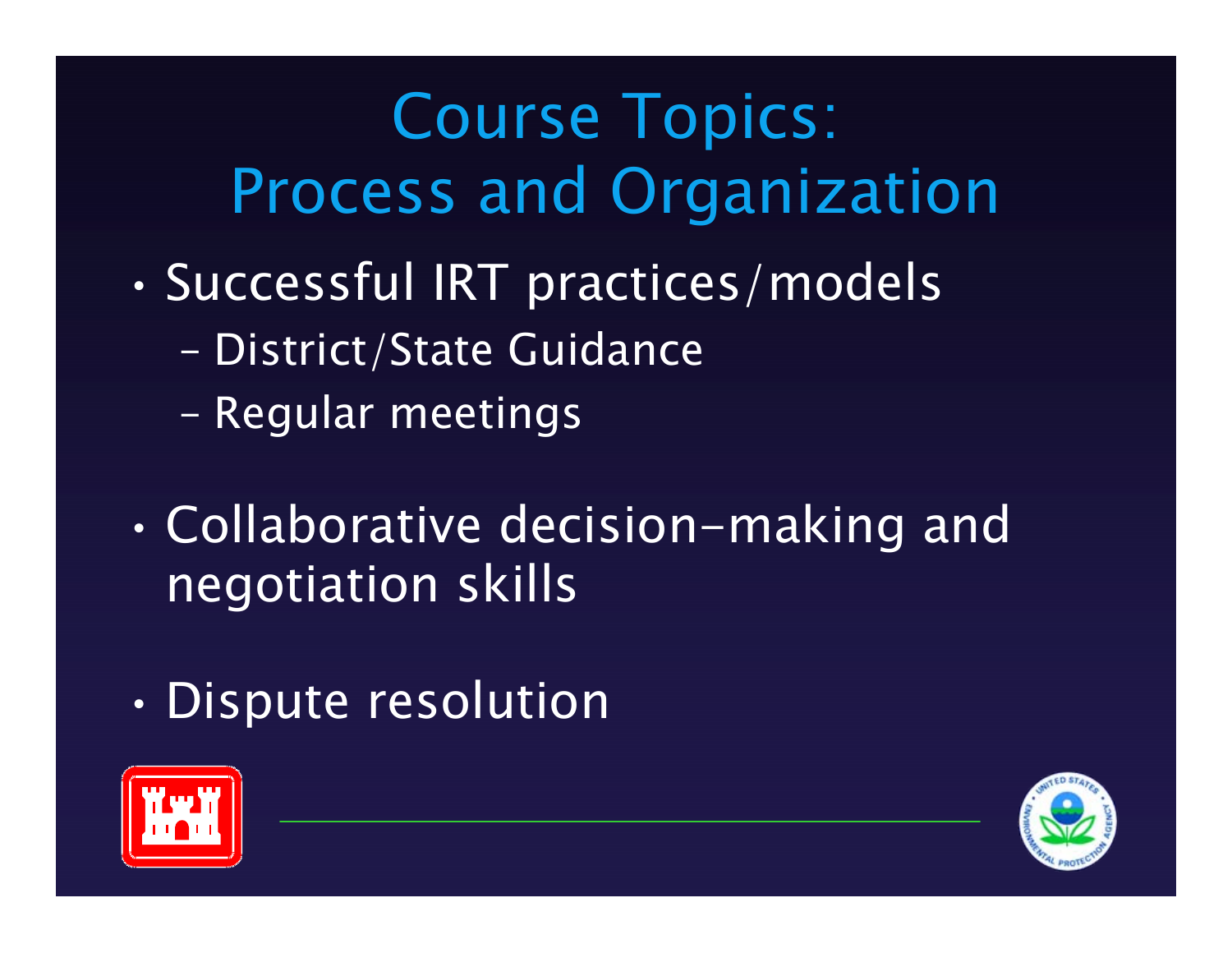### Course Topics: Process and Organization

- • Successful IRT practices/models
	- –- District/State Guidance
	- –Regular meetings
- • Collaborative decision-making and negotiation skills
- •Dispute resolution